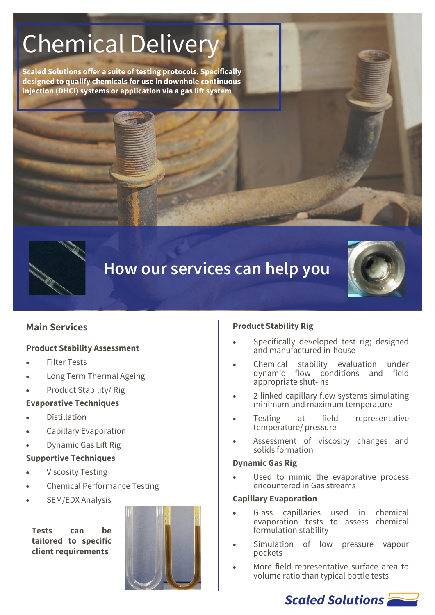# Chemical Delivery

**Scaled Solutions offer a suite of testing protocols. Specifically designed to qualify chemicals for use in downhole continuous injection (DHCI) systems or application via a gas lift system**



# **How our services can help you**



# **Main Services**

#### **Product Stability Assessment**

- **Filter Tests**
- Long Term Thermal Ageing
- Product Stability/ Rig

#### **Evaporative Techniques**

- **Distillation**
- Capillary Evaporation
- Dynamic Gas Lift Rig

#### **Supportive Techniques**

- **Viscosity Testing**
- Chemical Performance Testing
- SEM/EDX Analysis

**Tests can be tailored to specific client requirements**



#### **Product Stability Rig**

- Specifically developed test rig; designed and manufactured in-house
- Chemical stability evaluation under dynamic flow conditions and field appropriate shut-ins
- 2 linked capillary flow systems simulating minimum and maximum temperature
- Testing at field representative temperature/ pressure
- Assessment of viscosity changes and solids formation

#### **Dynamic Gas Rig**

Used to mimic the evaporative process encountered in Gas streams

#### **Capillary Evaporation**

- Glass capillaries used in chemical evaporation tests to assess chemical formulation stability
- Simulation of low pressure vapour pockets
- More field representative surface area to volume ratio than typical bottle tests